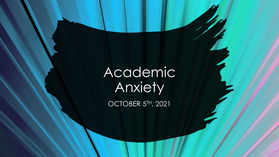Academic Anxiety

OCTOBER 5<sup>TH</sup>, 2021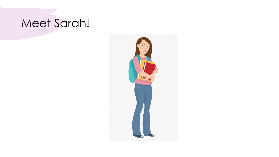# Meet Sarah!

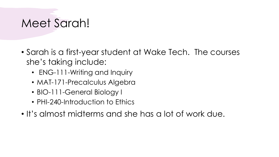### Meet Sarah!

- Sarah is a first-year student at Wake Tech. The courses she's taking include:
	- ENG-111-Writing and Inquiry
	- MAT-171-Precalculus Algebra
	- BIO-111-General Biology I
	- PHI-240-Introduction to Ethics
- It's almost midterms and she has a lot of work due.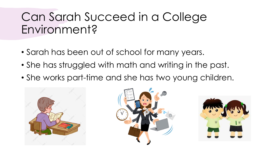# Can Sarah Succeed in a College Environment?

- Sarah has been out of school for many years.
- She has struggled with math and writing in the past.
- She works part-time and she has two young children.





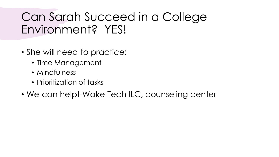# Can Sarah Succeed in a College Environment? YES!

- She will need to practice:
	- Time Management
	- Mindfulness
	- Prioritization of tasks
- We can help!-Wake Tech ILC, counseling center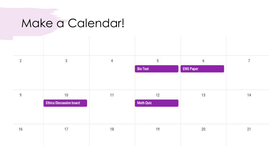# Make a Calendar!

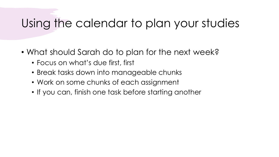### Using the calendar to plan your studies

- What should Sarah do to plan for the next week?
	- Focus on what's due first, first
	- Break tasks down into manageable chunks
	- Work on some chunks of each assignment
	- If you can, finish one task before starting another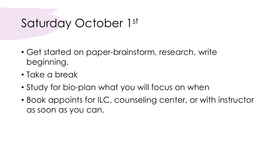# Saturday October 1st

- Get started on paper-brainstorm, research, write beginning.
- Take a break
- Study for bio-plan what you will focus on when
- Book appoints for ILC, counseling center, or with instructor as soon as you can.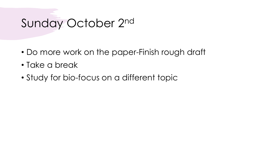# Sunday October 2nd

- Do more work on the paper-Finish rough draft
- Take a break
- Study for bio-focus on a different topic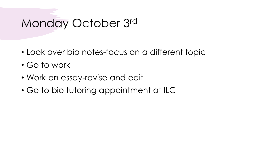# Monday October 3rd

- Look over bio notes-focus on a different topic
- Go to work
- Work on essay-revise and edit
- Go to bio tutoring appointment at ILC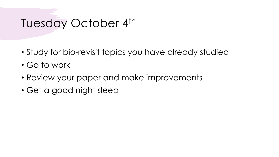# Tuesday October 4th

- Study for bio-revisit topics you have already studied
- Go to work
- Review your paper and make improvements
- Get a good night sleep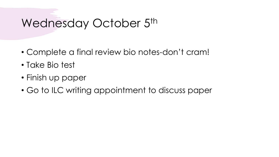# Wednesday October 5<sup>th</sup>

- Complete a final review bio notes-don't cram!
- Take Bio test
- Finish up paper
- Go to ILC writing appointment to discuss paper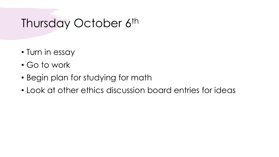# Thursday October 6<sup>th</sup>

- Turn in essay
- Go to work
- Begin plan for studying for math
- Look at other ethics discussion board entries for ideas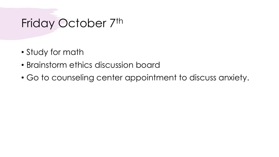#### Friday October 7th

- Study for math
- Brainstorm ethics discussion board
- Go to counseling center appointment to discuss anxiety.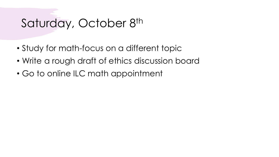# Saturday, October 8th

- Study for math-focus on a different topic
- Write a rough draft of ethics discussion board
- Go to online ILC math appointment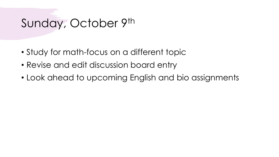### Sunday, October 9th

- Study for math-focus on a different topic
- Revise and edit discussion board entry
- Look ahead to upcoming English and bio assignments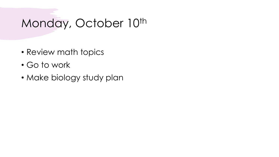# Monday, October 10th

- Review math topics
- Go to work
- Make biology study plan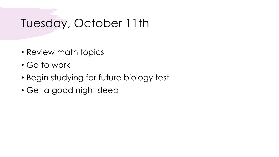# Tuesday, October 11th

- Review math topics
- Go to work
- Begin studying for future biology test
- Get a good night sleep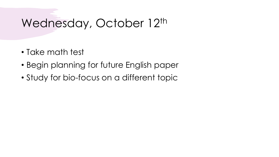# Wednesday, October 12th

- Take math test
- Begin planning for future English paper
- Study for bio-focus on a different topic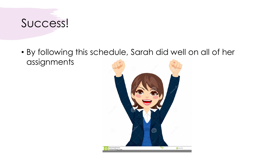# Success!

• By following this schedule, Sarah did well on all of her assignments

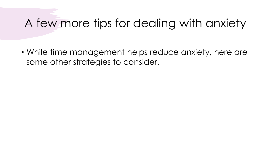# A few more tips for dealing with anxiety

• While time management helps reduce anxiety, here are some other strategies to consider.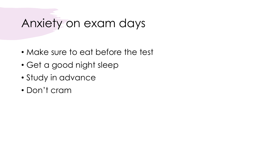#### Anxiety on exam days

- Make sure to eat before the test
- Get a good night sleep
- Study in advance
- Don't cram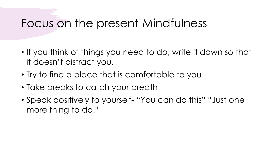#### Focus on the present-Mindfulness

- If you think of things you need to do, write it down so that it doesn't distract you.
- Try to find a place that is comfortable to you.
- Take breaks to catch your breath
- Speak positively to yourself- "You can do this" "Just one more thing to do."